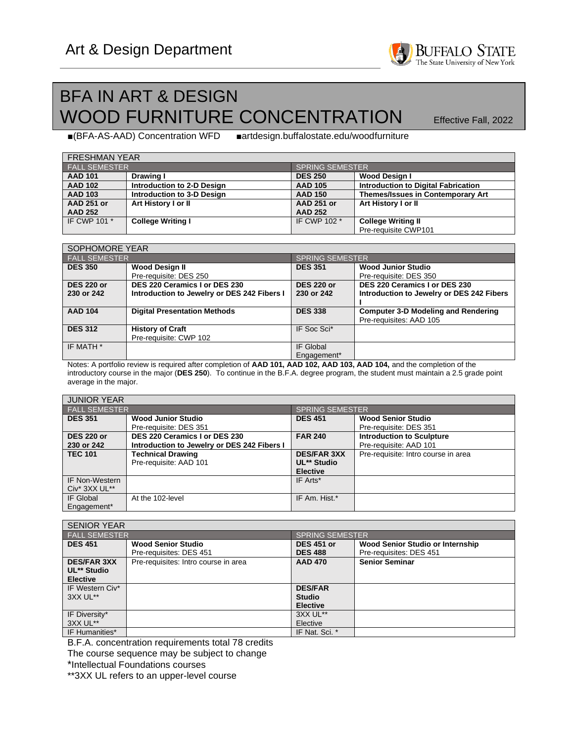

## BFA IN ART & DESIGN WOOD FURNITURE CONCENTRATION **Effective Fall**, 2022

■(BFA-AS-AAD) Concentration WFD ■artdesign.buffalostate.edu/woodfurniture

| <b>FRESHMAN YEAR</b> |                            |                   |                                            |  |  |  |
|----------------------|----------------------------|-------------------|--------------------------------------------|--|--|--|
| <b>FALL SEMESTER</b> |                            | SPRING SEMESTER   |                                            |  |  |  |
| <b>AAD 101</b>       | Drawing I                  | <b>DES 250</b>    | Wood Design I                              |  |  |  |
| <b>AAD 102</b>       | Introduction to 2-D Design | <b>AAD 105</b>    | <b>Introduction to Digital Fabrication</b> |  |  |  |
| <b>AAD 103</b>       | Introduction to 3-D Design | <b>AAD 150</b>    | Themes/Issues in Contemporary Art          |  |  |  |
| <b>AAD 251 or</b>    | Art History I or II        | <b>AAD 251 or</b> | Art History I or II                        |  |  |  |
| <b>AAD 252</b>       |                            | <b>AAD 252</b>    |                                            |  |  |  |
| IF CWP 101 *         | <b>College Writing I</b>   | IF CWP 102 *      | <b>College Writing II</b>                  |  |  |  |
|                      |                            |                   | Pre-requisite CWP101                       |  |  |  |

| SOPHOMORE YEAR                  |                                                                              |                                 |                                                                            |  |  |
|---------------------------------|------------------------------------------------------------------------------|---------------------------------|----------------------------------------------------------------------------|--|--|
| <b>FALL SEMESTER</b>            |                                                                              | <b>SPRING SEMESTER</b>          |                                                                            |  |  |
| <b>DES 350</b>                  | <b>Wood Design II</b>                                                        | <b>DES 351</b>                  | <b>Wood Junior Studio</b>                                                  |  |  |
|                                 | Pre-requisite: DES 250                                                       |                                 | Pre-requisite: DES 350                                                     |  |  |
| <b>DES 220 or</b><br>230 or 242 | DES 220 Ceramics I or DES 230<br>Introduction to Jewelry or DES 242 Fibers I | <b>DES 220 or</b><br>230 or 242 | DES 220 Ceramics I or DES 230<br>Introduction to Jewelry or DES 242 Fibers |  |  |
| <b>AAD 104</b>                  | <b>Digital Presentation Methods</b>                                          | <b>DES 338</b>                  | <b>Computer 3-D Modeling and Rendering</b><br>Pre-requisites: AAD 105      |  |  |
| <b>DES 312</b>                  | <b>History of Craft</b><br>Pre-requisite: CWP 102                            | IF Soc Sci*                     |                                                                            |  |  |
| IF MATH *                       |                                                                              | IF Global<br>Engagement*        |                                                                            |  |  |

Notes: A portfolio review is required after completion of **AAD 101, AAD 102, AAD 103, AAD 104,** and the completion of the introductory course in the major (**DES 250**). To continue in the B.F.A. degree program, the student must maintain a 2.5 grade point average in the major.

| <b>JUNIOR YEAR</b>       |                                                    |                                                      |                                     |  |  |
|--------------------------|----------------------------------------------------|------------------------------------------------------|-------------------------------------|--|--|
| <b>FALL SEMESTER</b>     |                                                    | <b>SPRING SEMESTER</b>                               |                                     |  |  |
| <b>DES 351</b>           | <b>Wood Junior Studio</b>                          | <b>DES 451</b>                                       | <b>Wood Senior Studio</b>           |  |  |
|                          | Pre-requisite: DES 351                             |                                                      | Pre-requisite: DES 351              |  |  |
| <b>DES 220 or</b>        | DES 220 Ceramics I or DES 230                      | <b>FAR 240</b>                                       | <b>Introduction to Sculpture</b>    |  |  |
| 230 or 242               | Introduction to Jewelry or DES 242 Fibers I        |                                                      | Pre-requisite: AAD 101              |  |  |
| <b>TEC 101</b>           | <b>Technical Drawing</b><br>Pre-requisite: AAD 101 | <b>DES/FAR 3XX</b><br>UL** Studio<br><b>Elective</b> | Pre-requisite: Intro course in area |  |  |
| IF Non-Western           |                                                    | IF Arts*                                             |                                     |  |  |
| Civ* 3XX UL**            |                                                    |                                                      |                                     |  |  |
| IF Global<br>Engagement* | At the 102-level                                   | IF Am. Hist.*                                        |                                     |  |  |

| <b>SENIOR YEAR</b>   |                                      |                        |                                  |  |
|----------------------|--------------------------------------|------------------------|----------------------------------|--|
| <b>FALL SEMESTER</b> |                                      | <b>SPRING SEMESTER</b> |                                  |  |
| <b>DES 451</b>       | <b>Wood Senior Studio</b>            | <b>DES 451 or</b>      | Wood Senior Studio or Internship |  |
|                      | Pre-requisites: DES 451              | <b>DES 488</b>         | Pre-requisites: DES 451          |  |
| <b>DES/FAR 3XX</b>   | Pre-requisites: Intro course in area | <b>AAD 470</b>         | <b>Senior Seminar</b>            |  |
| UL** Studio          |                                      |                        |                                  |  |
| <b>Elective</b>      |                                      |                        |                                  |  |
| IF Western Civ*      |                                      | <b>DES/FAR</b>         |                                  |  |
| 3XX UL**             |                                      | <b>Studio</b>          |                                  |  |
|                      |                                      | <b>Elective</b>        |                                  |  |
| IF Diversity*        |                                      | 3XX UL**               |                                  |  |
| 3XX UL**             |                                      | Elective               |                                  |  |
| IF Humanities*       |                                      | IF Nat. Sci. *         |                                  |  |

B.F.A. concentration requirements total 78 credits

The course sequence may be subject to change

\*Intellectual Foundations courses

\*\*3XX UL refers to an upper-level course